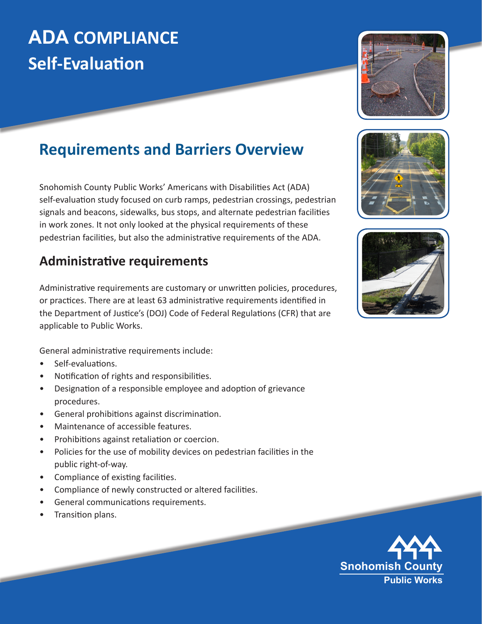# **ADA COMPLIANCE Self-Evaluation**



# **Requirements and Barriers Overview**

Snohomish County Public Works' Americans with Disabilities Act (ADA) self-evaluation study focused on curb ramps, pedestrian crossings, pedestrian signals and beacons, sidewalks, bus stops, and alternate pedestrian facilities in work zones. It not only looked at the physical requirements of these pedestrian facilities, but also the administrative requirements of the ADA.

### **Administrative requirements**

Administrative requirements are customary or unwritten policies, procedures, or practices. There are at least 63 administrative requirements identified in the Department of Justice's (DOJ) Code of Federal Regulations (CFR) that are applicable to Public Works.

General administrative requirements include:

- Self-evaluations.
- Notification of rights and responsibilities.
- Designation of a responsible employee and adoption of grievance procedures.
- General prohibitions against discrimination.
- Maintenance of accessible features.
- Prohibitions against retaliation or coercion.
- Policies for the use of mobility devices on pedestrian facilities in the public right-of-way.
- Compliance of existing facilities.
- Compliance of newly constructed or altered facilities.
- General communications requirements.
- Transition plans.





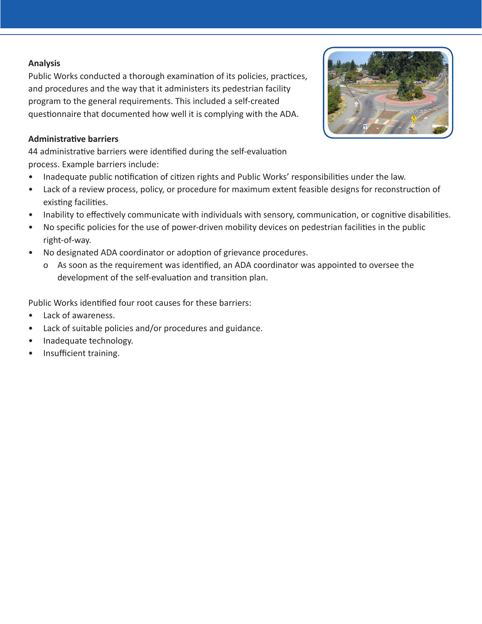#### **Analysis**

Public Works conducted a thorough examination of its policies, practices, and procedures and the way that it administers its pedestrian facility program to the general requirements. This included a self-created questionnaire that documented how well it is complying with the ADA.

#### **Administrative barriers**

44 administrative barriers were identified during the self-evaluation process. Example barriers include:

- Inadequate public notification of citizen rights and Public Works' responsibilities under the law.
- Lack of a review process, policy, or procedure for maximum extent feasible designs for reconstruction of existing facilities.
- Inability to effectively communicate with individuals with sensory, communication, or cognitive disabilities.
- No specific policies for the use of power-driven mobility devices on pedestrian facilities in the public right-of-way.
- No designated ADA coordinator or adoption of grievance procedures.
	- o As soon as the requirement was identified, an ADA coordinator was appointed to oversee the development of the self-evaluation and transition plan.

Public Works identified four root causes for these barriers:

- Lack of awareness.
- Lack of suitable policies and/or procedures and guidance.
- Inadequate technology.
- Insufficient training.

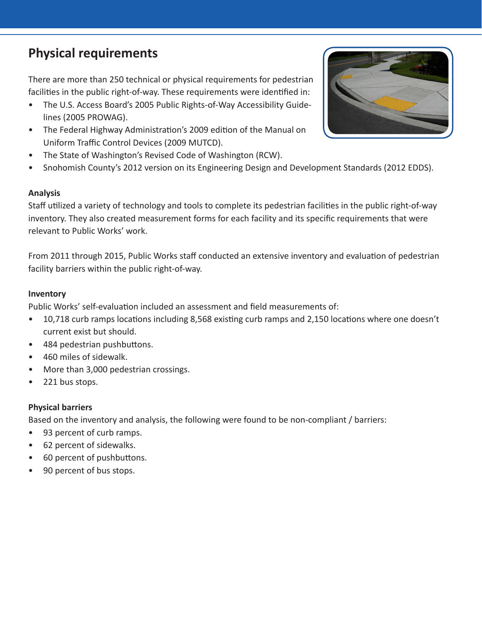## **Physical requirements**

There are more than 250 technical or physical requirements for pedestrian facilities in the public right-of-way. These requirements were identified in:

- The U.S. Access Board's 2005 Public Rights-of-Way Accessibility Guidelines (2005 PROWAG).
- The Federal Highway Administration's 2009 edition of the Manual on Uniform Traffic Control Devices (2009 MUTCD).
- The State of Washington's Revised Code of Washington (RCW).
- Snohomish County's 2012 version on its Engineering Design and Development Standards (2012 EDDS).

#### **Analysis**

Staff utilized a variety of technology and tools to complete its pedestrian facilities in the public right-of-way inventory. They also created measurement forms for each facility and its specific requirements that were relevant to Public Works' work.

From 2011 through 2015, Public Works staff conducted an extensive inventory and evaluation of pedestrian facility barriers within the public right-of-way.

#### **Inventory**

Public Works' self-evaluation included an assessment and field measurements of:

- 10,718 curb ramps locations including 8,568 existing curb ramps and 2,150 locations where one doesn't current exist but should.
- 484 pedestrian pushbuttons.
- 460 miles of sidewalk.
- More than 3,000 pedestrian crossings.
- 221 bus stops.

#### **Physical barriers**

Based on the inventory and analysis, the following were found to be non-compliant / barriers:

- 93 percent of curb ramps.
- 62 percent of sidewalks.
- 60 percent of pushbuttons.
- 90 percent of bus stops.